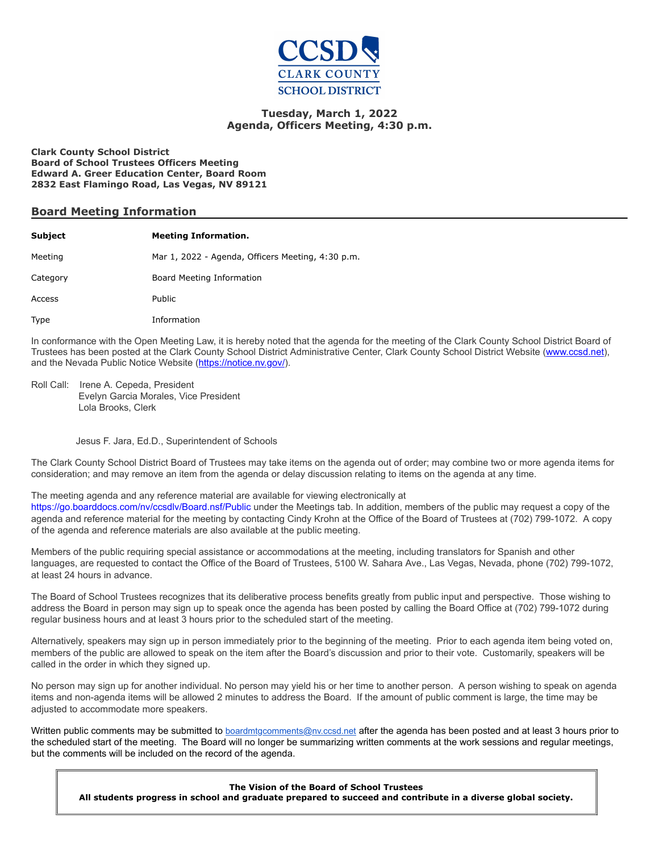

### **Tuesday, March 1, 2022 Agenda, Officers Meeting, 4:30 p.m.**

**Clark County School District Board of School Trustees Officers Meeting Edward A. Greer Education Center, Board Room 2832 East Flamingo Road, Las Vegas, NV 89121**

#### **Board Meeting Information**

| <b>Subject</b> | <b>Meeting Information.</b>                       |
|----------------|---------------------------------------------------|
| Meeting        | Mar 1, 2022 - Agenda, Officers Meeting, 4:30 p.m. |
| Category       | Board Meeting Information                         |
| Access         | Public                                            |
| Type           | Information                                       |

In conformance with the Open Meeting Law, it is hereby noted that the agenda for the meeting of the Clark County School District Board of Trustees has been posted at the Clark County School District Administrative Center, Clark County School District Website [\(www.ccsd.net](http://www.ccsd.net/)), and the Nevada Public Notice Website ([https://notice.nv.gov/](http://notice.nv.gov/)).

Roll Call: Irene A. Cepeda, President Evelyn Garcia Morales, Vice President Lola Brooks, Clerk

#### Jesus F. Jara, Ed.D., Superintendent of Schools

The Clark County School District Board of Trustees may take items on the agenda out of order; may combine two or more agenda items for consideration; and may remove an item from the agenda or delay discussion relating to items on the agenda at any time.

#### The meeting agenda and any reference material are available for viewing electronically at

<https://go.boarddocs.com/nv/ccsdlv/Board.nsf/Public> under the Meetings tab. In addition, members of the public may request a copy of the agenda and reference material for the meeting by contacting Cindy Krohn at the Office of the Board of Trustees at (702) 799-1072. A copy of the agenda and reference materials are also available at the public meeting.

Members of the public requiring special assistance or accommodations at the meeting, including translators for Spanish and other languages, are requested to contact the Office of the Board of Trustees, 5100 W. Sahara Ave., Las Vegas, Nevada, phone (702) 799-1072, at least 24 hours in advance.

The Board of School Trustees recognizes that its deliberative process benefits greatly from public input and perspective. Those wishing to address the Board in person may sign up to speak once the agenda has been posted by calling the Board Office at (702) 799-1072 during regular business hours and at least 3 hours prior to the scheduled start of the meeting.

Alternatively, speakers may sign up in person immediately prior to the beginning of the meeting. Prior to each agenda item being voted on, members of the public are allowed to speak on the item after the Board's discussion and prior to their vote. Customarily, speakers will be called in the order in which they signed up.

No person may sign up for another individual. No person may yield his or her time to another person. A person wishing to speak on agenda items and non-agenda items will be allowed 2 minutes to address the Board. If the amount of public comment is large, the time may be adjusted to accommodate more speakers.

Written public comments may be submitted to **[boardmtgcomments@nv.ccsd.net](mailto:boardmtgcomments@nv.ccsd.net)** after the agenda has been posted and at least 3 hours prior to the scheduled start of the meeting. The Board will no longer be summarizing written comments at the work sessions and regular meetings, but the comments will be included on the record of the agenda.

**The Vision of the Board of School Trustees All students progress in school and graduate prepared to succeed and contribute in a diverse global society.**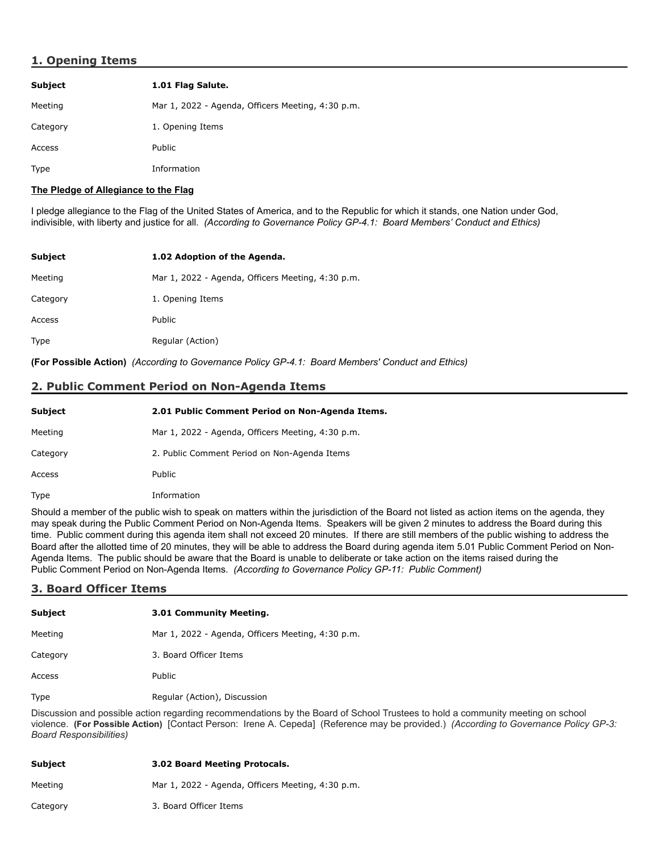# **1. Opening Items**

| <b>Subject</b> | 1.01 Flag Salute.                                 |
|----------------|---------------------------------------------------|
| Meeting        | Mar 1, 2022 - Agenda, Officers Meeting, 4:30 p.m. |
| Category       | 1. Opening Items                                  |
| Access         | Public                                            |
| <b>Type</b>    | Information                                       |

#### **The Pledge of Allegiance to the Flag**

I pledge allegiance to the Flag of the United States of America, and to the Republic for which it stands, one Nation under God, indivisible, with liberty and justice for all. *(According to Governance Policy GP-4.1: Board Members' Conduct and Ethics)*

| Subject     | 1.02 Adoption of the Agenda.                      |
|-------------|---------------------------------------------------|
| Meeting     | Mar 1, 2022 - Agenda, Officers Meeting, 4:30 p.m. |
| Category    | 1. Opening Items                                  |
| Access      | Public                                            |
| <b>Type</b> | Regular (Action)                                  |

**(For Possible Action)** *(According to Governance Policy GP-4.1: Board Members' Conduct and Ethics)*

# **2. Public Comment Period on Non-Agenda Items**

| <b>Subject</b> | 2.01 Public Comment Period on Non-Agenda Items.   |
|----------------|---------------------------------------------------|
| Meeting        | Mar 1, 2022 - Agenda, Officers Meeting, 4:30 p.m. |
| Category       | 2. Public Comment Period on Non-Agenda Items      |
| Access         | Public                                            |
| Type           | Information                                       |

Should a member of the public wish to speak on matters within the jurisdiction of the Board not listed as action items on the agenda, they may speak during the Public Comment Period on Non-Agenda Items. Speakers will be given 2 minutes to address the Board during this time. Public comment during this agenda item shall not exceed 20 minutes. If there are still members of the public wishing to address the Board after the allotted time of 20 minutes, they will be able to address the Board during agenda item 5.01 Public Comment Period on Non-Agenda Items. The public should be aware that the Board is unable to deliberate or take action on the items raised during the Public Comment Period on Non-Agenda Items. *(According to Governance Policy GP-11: Public Comment)*

#### **3. Board Officer Items**

| <b>Subject</b> | 3.01 Community Meeting.                           |
|----------------|---------------------------------------------------|
| Meeting        | Mar 1, 2022 - Agenda, Officers Meeting, 4:30 p.m. |
| Category       | 3. Board Officer Items                            |
| Access         | Public                                            |
| <b>Type</b>    | Regular (Action), Discussion                      |

Discussion and possible action regarding recommendations by the Board of School Trustees to hold a community meeting on school violence. **(For Possible Action)** [Contact Person: Irene A. Cepeda] (Reference may be provided.) *(According to Governance Policy GP-3: Board Responsibilities)*

| Subject  | <b>3.02 Board Meeting Protocals.</b>              |
|----------|---------------------------------------------------|
| Meetina  | Mar 1, 2022 - Agenda, Officers Meeting, 4:30 p.m. |
| Category | 3. Board Officer Items                            |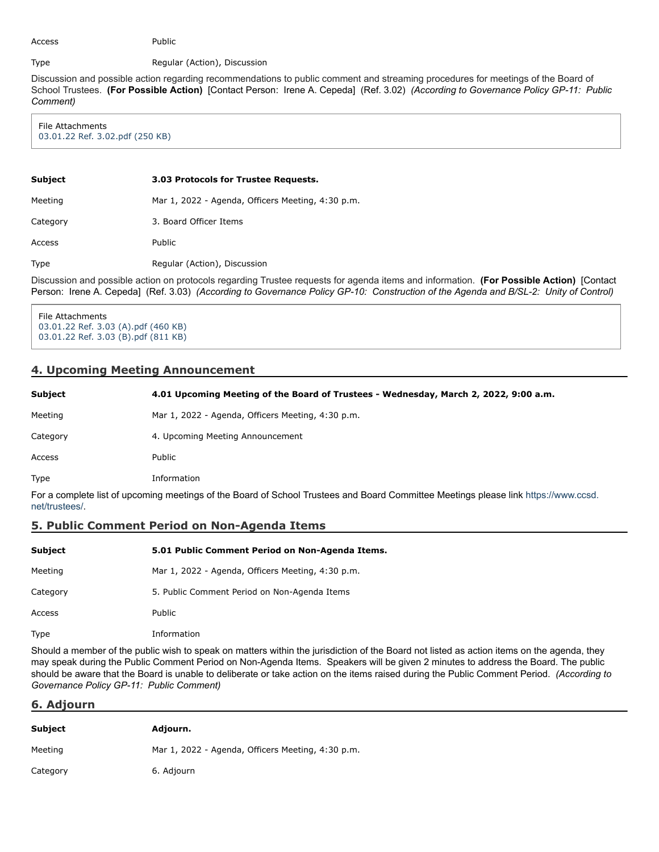Access Public

Type Regular (Action), Discussion

Discussion and possible action regarding recommendations to public comment and streaming procedures for meetings of the Board of School Trustees. **(For Possible Action)** [Contact Person: Irene A. Cepeda] (Ref. 3.02) *(According to Governance Policy GP-11: Public Comment)*

File Attachments [03.01.22 Ref. 3.02.pdf \(250 KB\)](https://go.boarddocs.com/nv/ccsdlv/Board.nsf/files/CBWVZP833114/$file/03.01.22%20Ref.%203.02.pdf)

Access Public

| Subject  | 3.03 Protocols for Trustee Requests.              |
|----------|---------------------------------------------------|
| Meeting  | Mar 1, 2022 - Agenda, Officers Meeting, 4:30 p.m. |
| Category | 3. Board Officer Items                            |

Type Regular (Action), Discussion

Discussion and possible action on protocols regarding Trustee requests for agenda items and information. **(For Possible Action)** [Contact Person: Irene A. Cepeda] (Ref. 3.03) *(According to Governance Policy GP-10: Construction of the Agenda and B/SL-2: Unity of Control)*

File Attachments [03.01.22 Ref. 3.03 \(A\).pdf \(460 KB\)](https://go.boarddocs.com/nv/ccsdlv/Board.nsf/files/CBWW3U837516/$file/03.01.22%20Ref.%203.03%20(A).pdf) [03.01.22 Ref. 3.03 \(B\).pdf \(811 KB\)](https://go.boarddocs.com/nv/ccsdlv/Board.nsf/files/CBWW3W8377F0/$file/03.01.22%20Ref.%203.03%20(B).pdf)

# **4. Upcoming Meeting Announcement**

| <b>Subject</b> | 4.01 Upcoming Meeting of the Board of Trustees - Wednesday, March 2, 2022, 9:00 a.m. |
|----------------|--------------------------------------------------------------------------------------|
| Meeting        | Mar 1, 2022 - Agenda, Officers Meeting, 4:30 p.m.                                    |
| Category       | 4. Upcoming Meeting Announcement                                                     |
| Access         | Public                                                                               |
| Type           | Information                                                                          |

[For a complete list of upcoming meetings of the Board of School Trustees and Board Committee Meetings please link https://www.ccsd.](https://www.ccsd.net/trustees/) net/trustees/.

# **5. Public Comment Period on Non-Agenda Items**

| Subject  | 5.01 Public Comment Period on Non-Agenda Items.   |
|----------|---------------------------------------------------|
| Meeting  | Mar 1, 2022 - Agenda, Officers Meeting, 4:30 p.m. |
| Category | 5. Public Comment Period on Non-Agenda Items      |
| Access   | Public                                            |
| Type     | Information                                       |

Should a member of the public wish to speak on matters within the jurisdiction of the Board not listed as action items on the agenda, they may speak during the Public Comment Period on Non-Agenda Items. Speakers will be given 2 minutes to address the Board. The public should be aware that the Board is unable to deliberate or take action on the items raised during the Public Comment Period. *(According to Governance Policy GP-11: Public Comment)*

# **6. Adjourn**

| <b>Subject</b> | Adjourn.                                          |
|----------------|---------------------------------------------------|
| Meeting        | Mar 1, 2022 - Agenda, Officers Meeting, 4:30 p.m. |
| Category       | 6. Adjourn                                        |